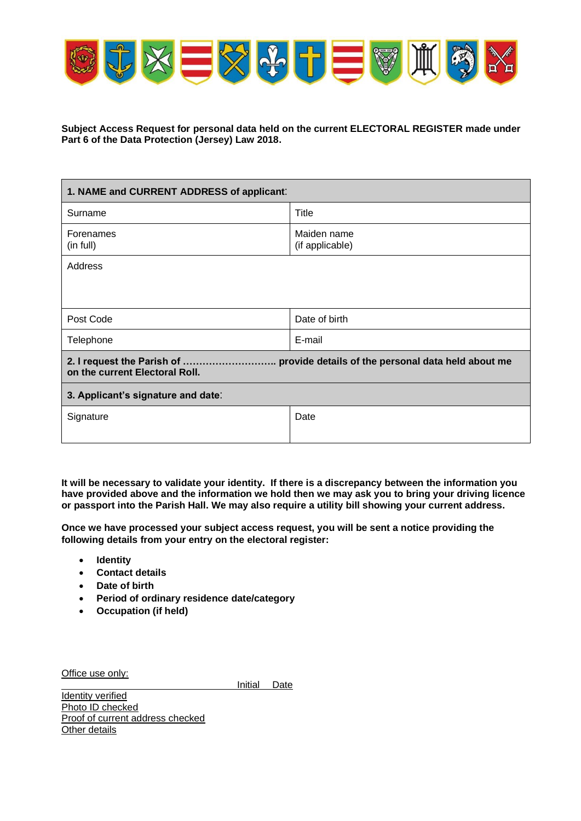

**Subject Access Request for personal data held on the current ELECTORAL REGISTER made under Part 6 of the Data Protection (Jersey) Law 2018.**

| 1. NAME and CURRENT ADDRESS of applicant:                                                                        |                                |
|------------------------------------------------------------------------------------------------------------------|--------------------------------|
| Surname                                                                                                          | Title                          |
| Forenames<br>(in full)                                                                                           | Maiden name<br>(if applicable) |
| Address                                                                                                          |                                |
|                                                                                                                  |                                |
| Post Code                                                                                                        | Date of birth                  |
| Telephone                                                                                                        | E-mail                         |
| 2. I request the Parish of  provide details of the personal data held about me<br>on the current Electoral Roll. |                                |
| 3. Applicant's signature and date:                                                                               |                                |
| Signature                                                                                                        | Date                           |
|                                                                                                                  |                                |

**It will be necessary to validate your identity. If there is a discrepancy between the information you have provided above and the information we hold then we may ask you to bring your driving licence or passport into the Parish Hall. We may also require a utility bill showing your current address.**

**Once we have processed your subject access request, you will be sent a notice providing the following details from your entry on the electoral register:** 

- **Identity**
- **Contact details**
- **Date of birth**
- **Period of ordinary residence date/category**
- **Occupation (if held)**

Office use only:

Initial Date

Identity verified Photo ID checked Proof of current address checked **Other details**